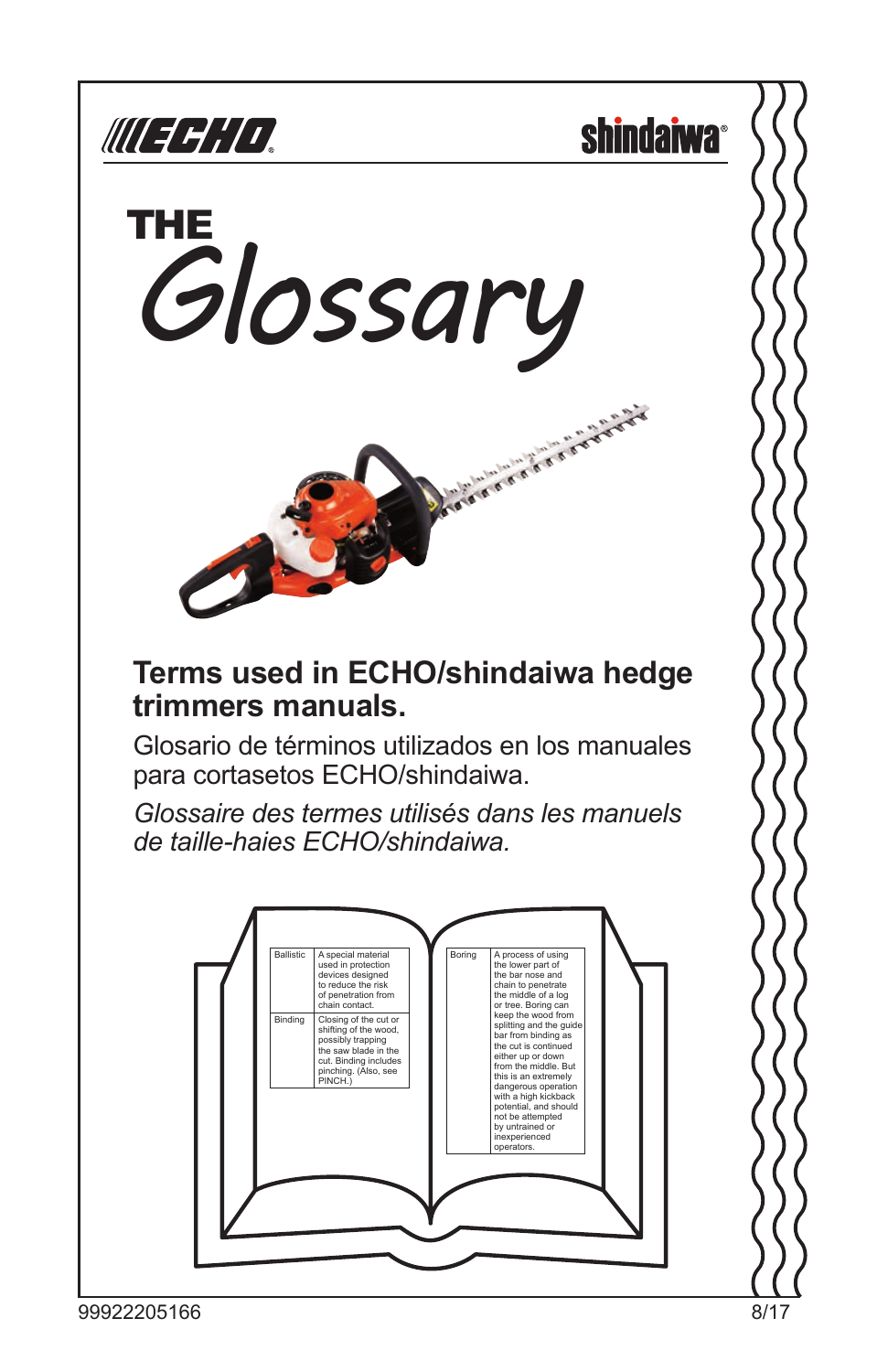

**shindaiwa**<sup>®</sup>



#### **Terms used in ECHO/shindaiwa hedge trimmers manuals.**

Glosario de términos utilizados en los manuales para cortasetos ECHO/shindaiwa.

*Glossaire des termes utilisés dans les manuels de taille-haies ECHO/shindaiwa.*

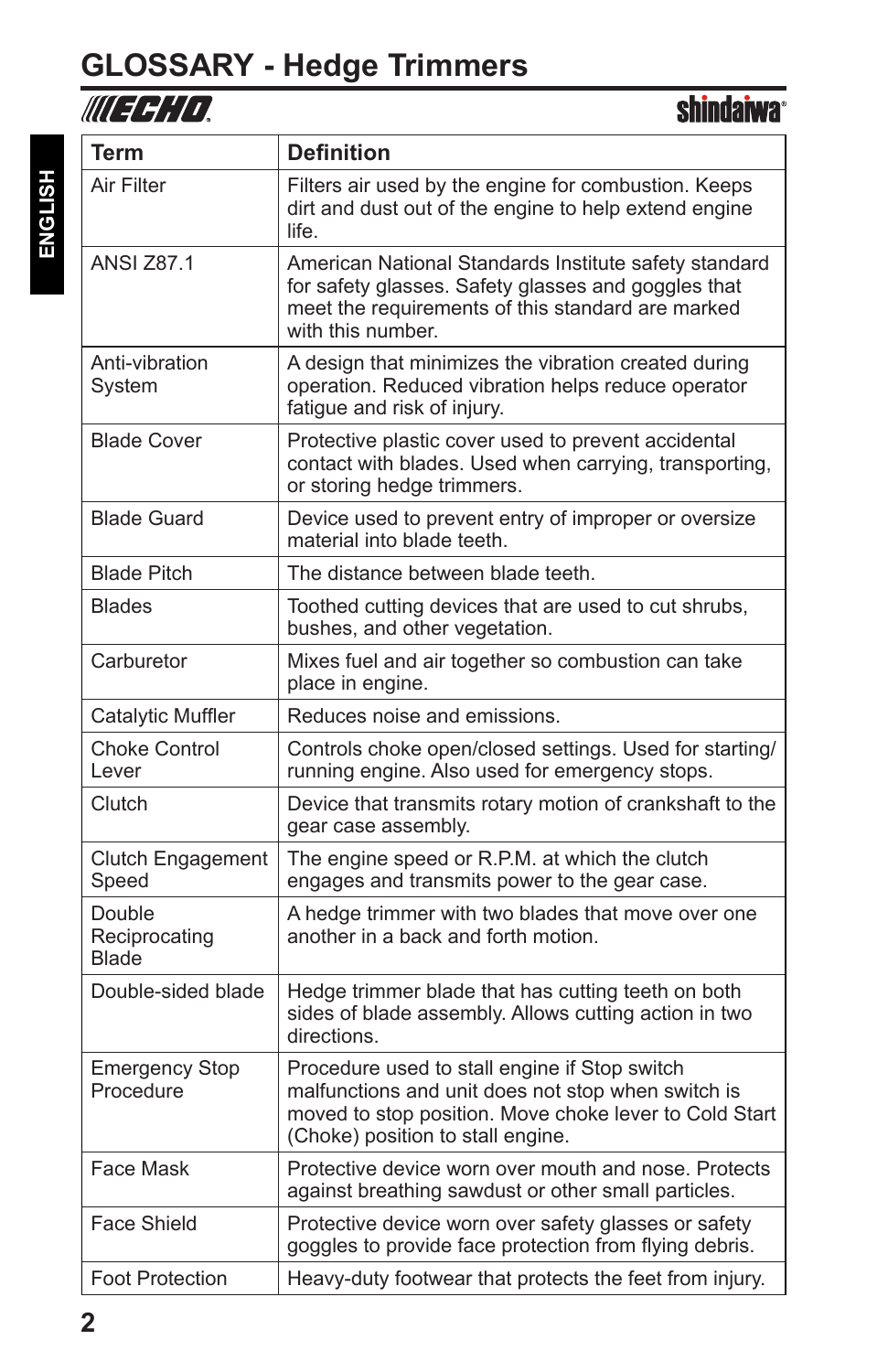# **GLOSSARY - Hedge Trimmers**

| <b>Term</b>                             | <b>Definition</b>                                                                                                                                                                                  |
|-----------------------------------------|----------------------------------------------------------------------------------------------------------------------------------------------------------------------------------------------------|
| Air Filter                              | Filters air used by the engine for combustion. Keeps<br>dirt and dust out of the engine to help extend engine<br>life.                                                                             |
| <b>ANSI Z87.1</b>                       | American National Standards Institute safety standard<br>for safety glasses. Safety glasses and goggles that<br>meet the requirements of this standard are marked<br>with this number.             |
| Anti-vibration<br>Svstem                | A design that minimizes the vibration created during<br>operation. Reduced vibration helps reduce operator<br>fatigue and risk of injury.                                                          |
| <b>Blade Cover</b>                      | Protective plastic cover used to prevent accidental<br>contact with blades. Used when carrying, transporting,<br>or storing hedge trimmers.                                                        |
| <b>Blade Guard</b>                      | Device used to prevent entry of improper or oversize<br>material into blade teeth.                                                                                                                 |
| <b>Blade Pitch</b>                      | The distance between blade teeth.                                                                                                                                                                  |
| Blades                                  | Toothed cutting devices that are used to cut shrubs,<br>bushes, and other vegetation.                                                                                                              |
| Carburetor                              | Mixes fuel and air together so combustion can take<br>place in engine.                                                                                                                             |
| Catalytic Muffler                       | Reduces noise and emissions.                                                                                                                                                                       |
| <b>Choke Control</b><br>Lever           | Controls choke open/closed settings. Used for starting/<br>running engine. Also used for emergency stops.                                                                                          |
| Clutch                                  | Device that transmits rotary motion of crankshaft to the<br>gear case assembly.                                                                                                                    |
| Clutch Engagement<br>Speed              | The engine speed or R.P.M. at which the clutch<br>engages and transmits power to the gear case.                                                                                                    |
| Double<br>Reciprocating<br><b>Blade</b> | A hedge trimmer with two blades that move over one<br>another in a back and forth motion.                                                                                                          |
| Double-sided blade                      | Hedge trimmer blade that has cutting teeth on both<br>sides of blade assembly. Allows cutting action in two<br>directions.                                                                         |
| <b>Emergency Stop</b><br>Procedure      | Procedure used to stall engine if Stop switch<br>malfunctions and unit does not stop when switch is<br>moved to stop position. Move choke lever to Cold Start<br>(Choke) position to stall engine. |
| Face Mask                               | Protective device worn over mouth and nose. Protects<br>against breathing sawdust or other small particles.                                                                                        |
| <b>Face Shield</b>                      | Protective device worn over safety glasses or safety<br>goggles to provide face protection from flying debris.                                                                                     |
| <b>Foot Protection</b>                  | Heavy-duty footwear that protects the feet from injury.                                                                                                                                            |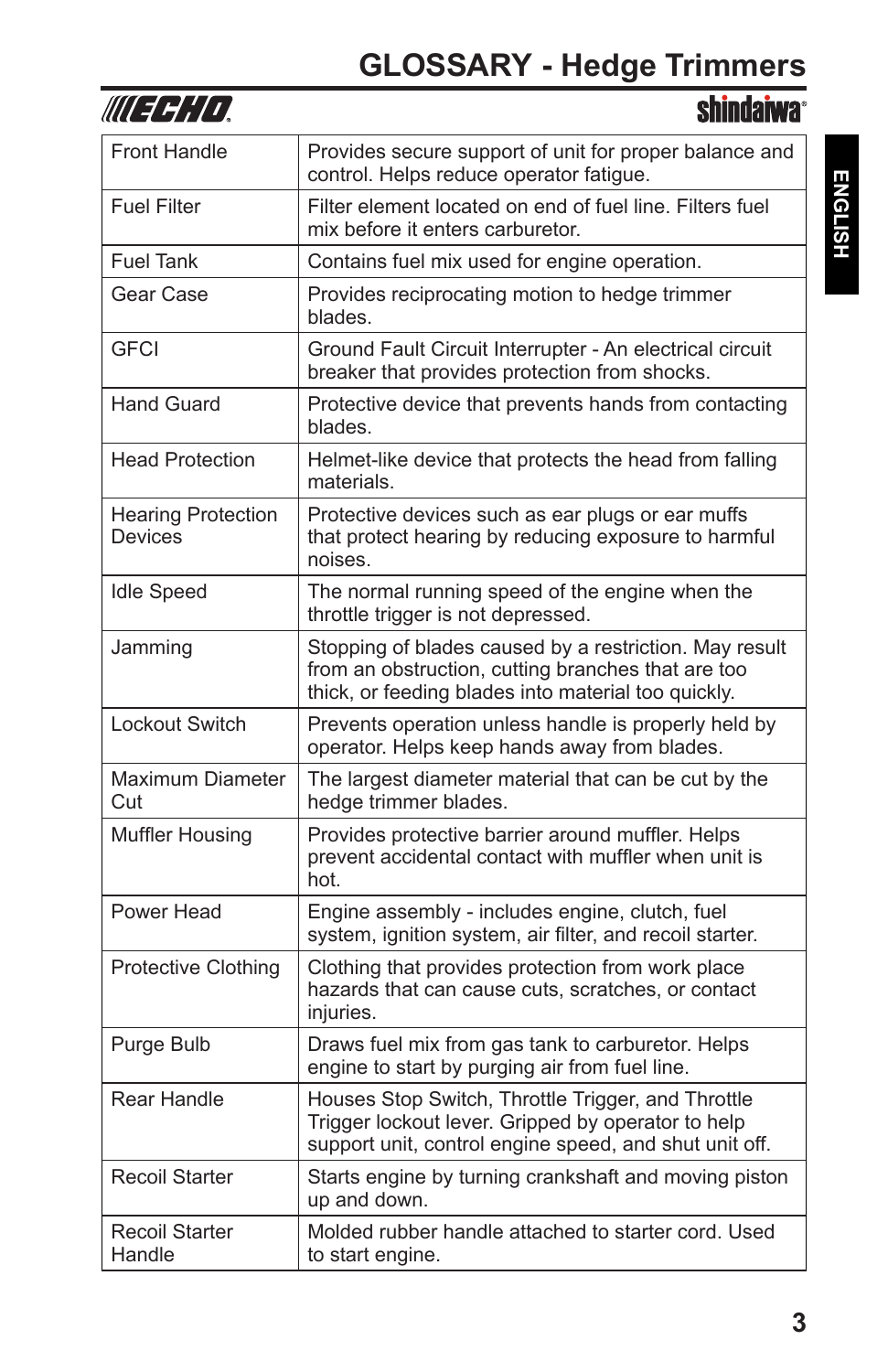| WUEFHIO                              | <b>shindaiwa</b>                                                                                                                                                    |
|--------------------------------------|---------------------------------------------------------------------------------------------------------------------------------------------------------------------|
| <b>Front Handle</b>                  | Provides secure support of unit for proper balance and<br>control. Helps reduce operator fatigue.                                                                   |
| <b>Fuel Filter</b>                   | Filter element located on end of fuel line. Filters fuel<br>mix before it enters carburetor.                                                                        |
| <b>Fuel Tank</b>                     | Contains fuel mix used for engine operation.                                                                                                                        |
| Gear Case                            | Provides reciprocating motion to hedge trimmer<br>blades.                                                                                                           |
| GFCI                                 | Ground Fault Circuit Interrupter - An electrical circuit<br>breaker that provides protection from shocks.                                                           |
| <b>Hand Guard</b>                    | Protective device that prevents hands from contacting<br>blades.                                                                                                    |
| <b>Head Protection</b>               | Helmet-like device that protects the head from falling<br>materials.                                                                                                |
| <b>Hearing Protection</b><br>Devices | Protective devices such as ear plugs or ear muffs<br>that protect hearing by reducing exposure to harmful<br>noises.                                                |
| <b>Idle Speed</b>                    | The normal running speed of the engine when the<br>throttle trigger is not depressed.                                                                               |
| Jamming                              | Stopping of blades caused by a restriction. May result<br>from an obstruction, cutting branches that are too<br>thick, or feeding blades into material too quickly. |
| Lockout Switch                       | Prevents operation unless handle is properly held by<br>operator. Helps keep hands away from blades.                                                                |
| <b>Maximum Diameter</b><br>Cut       | The largest diameter material that can be cut by the<br>hedge trimmer blades.                                                                                       |
| <b>Muffler Housing</b>               | Provides protective barrier around muffler. Helps<br>prevent accidental contact with muffler when unit is<br>hot.                                                   |
| Power Head                           | Engine assembly - includes engine, clutch, fuel<br>system, ignition system, air filter, and recoil starter.                                                         |
| Protective Clothing                  | Clothing that provides protection from work place<br>hazards that can cause cuts, scratches, or contact<br>injuries.                                                |
| Purge Bulb                           | Draws fuel mix from gas tank to carburetor. Helps<br>engine to start by purging air from fuel line.                                                                 |
| Rear Handle                          | Houses Stop Switch, Throttle Trigger, and Throttle<br>Trigger lockout lever. Gripped by operator to help<br>support unit, control engine speed, and shut unit off.  |
| <b>Recoil Starter</b>                | Starts engine by turning crankshaft and moving piston<br>up and down.                                                                                               |
| <b>Recoil Starter</b><br>Handle      | Molded rubber handle attached to starter cord. Used<br>to start engine.                                                                                             |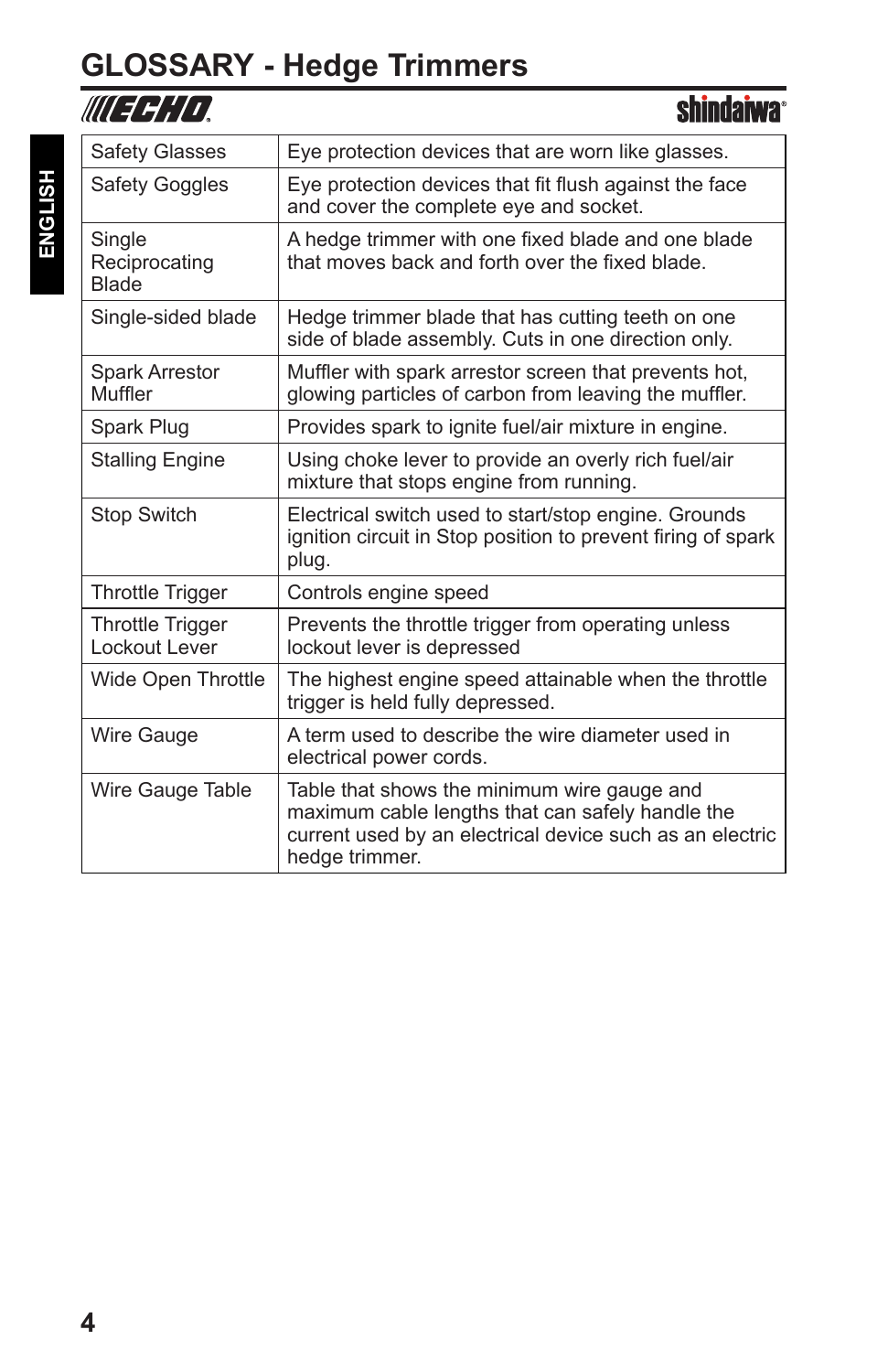# **GLOSSARY - Hedge Trimmers**

| UU 3 3 1 1 1 1                           | <b>shindaiwa</b> ®                                                                                                                                                            |
|------------------------------------------|-------------------------------------------------------------------------------------------------------------------------------------------------------------------------------|
| <b>Safety Glasses</b>                    | Eye protection devices that are worn like glasses.                                                                                                                            |
| <b>Safety Goggles</b>                    | Eye protection devices that fit flush against the face<br>and cover the complete eye and socket.                                                                              |
| Single<br>Reciprocating<br><b>Blade</b>  | A hedge trimmer with one fixed blade and one blade<br>that moves back and forth over the fixed blade.                                                                         |
| Single-sided blade                       | Hedge trimmer blade that has cutting teeth on one<br>side of blade assembly. Cuts in one direction only.                                                                      |
| <b>Spark Arrestor</b><br>Muffler         | Muffler with spark arrestor screen that prevents hot.<br>glowing particles of carbon from leaving the muffler.                                                                |
| Spark Plug                               | Provides spark to ignite fuel/air mixture in engine.                                                                                                                          |
| <b>Stalling Engine</b>                   | Using choke lever to provide an overly rich fuel/air<br>mixture that stops engine from running.                                                                               |
| <b>Stop Switch</b>                       | Electrical switch used to start/stop engine. Grounds<br>ignition circuit in Stop position to prevent firing of spark<br>plug.                                                 |
| <b>Throttle Trigger</b>                  | Controls engine speed                                                                                                                                                         |
| <b>Throttle Trigger</b><br>Lockout Lever | Prevents the throttle trigger from operating unless<br>lockout lever is depressed                                                                                             |
| Wide Open Throttle                       | The highest engine speed attainable when the throttle<br>trigger is held fully depressed.                                                                                     |
| <b>Wire Gauge</b>                        | A term used to describe the wire diameter used in<br>electrical power cords.                                                                                                  |
| Wire Gauge Table                         | Table that shows the minimum wire gauge and<br>maximum cable lengths that can safely handle the<br>current used by an electrical device such as an electric<br>hedge trimmer. |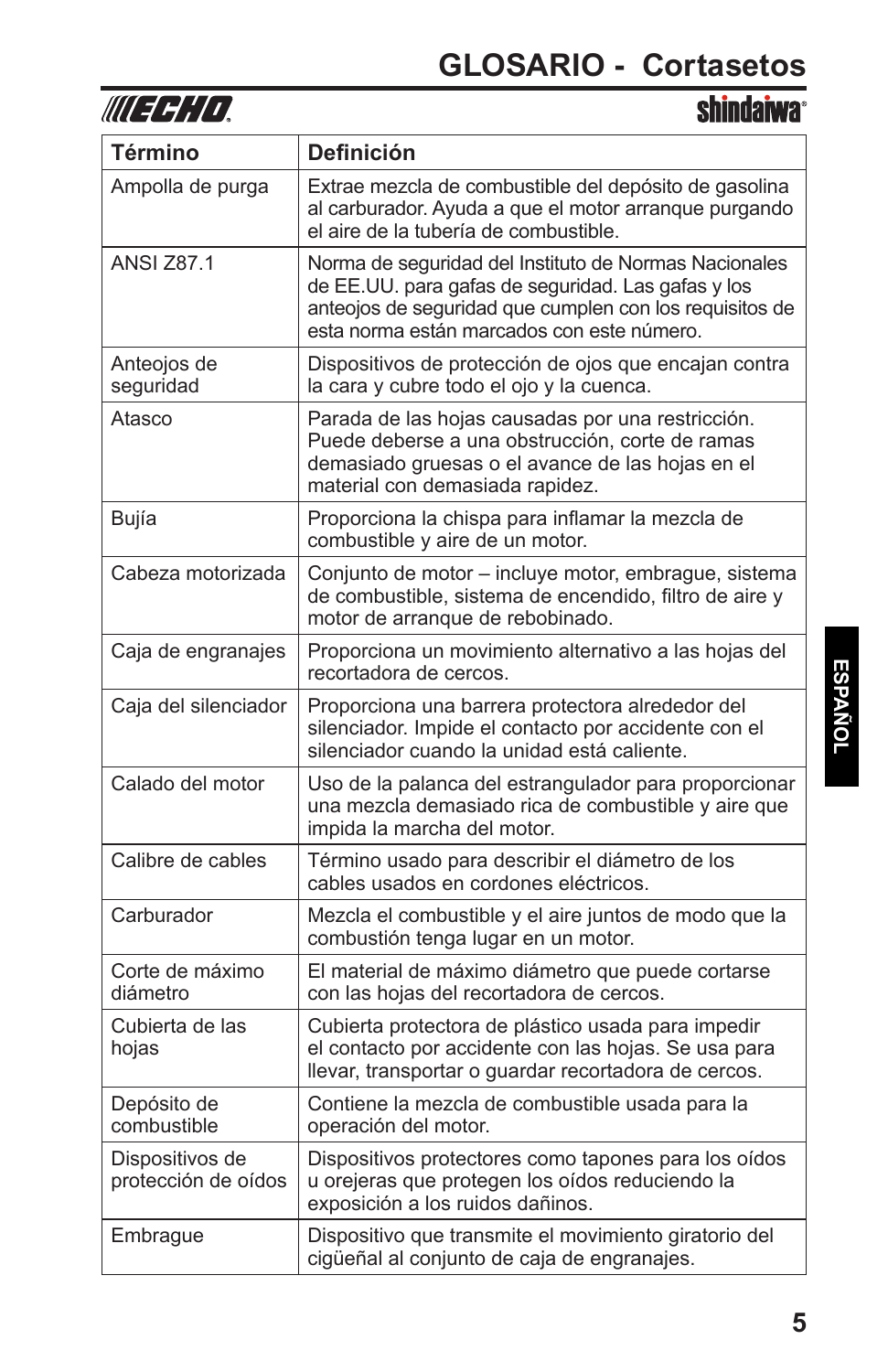

| <b>Término</b>                         | <b>Definición</b>                                                                                                                                                                                                    |
|----------------------------------------|----------------------------------------------------------------------------------------------------------------------------------------------------------------------------------------------------------------------|
| Ampolla de purga                       | Extrae mezcla de combustible del depósito de gasolina<br>al carburador. Ayuda a que el motor arranque purgando<br>el aire de la tubería de combustible.                                                              |
| <b>ANSI Z87.1</b>                      | Norma de seguridad del Instituto de Normas Nacionales<br>de EE.UU. para gafas de seguridad. Las gafas y los<br>anteojos de seguridad que cumplen con los requisitos de<br>esta norma están marcados con este número. |
| Anteojos de<br>seguridad               | Dispositivos de protección de ojos que encajan contra<br>la cara y cubre todo el ojo y la cuenca.                                                                                                                    |
| Atasco                                 | Parada de las hojas causadas por una restricción.<br>Puede deberse a una obstrucción, corte de ramas<br>demasiado gruesas o el avance de las hojas en el<br>material con demasiada rapidez.                          |
| Bujía                                  | Proporciona la chispa para inflamar la mezcla de<br>combustible y aire de un motor.                                                                                                                                  |
| Cabeza motorizada                      | Conjunto de motor - incluye motor, embrague, sistema<br>de combustible, sistema de encendido, filtro de aire y<br>motor de arrangue de rebobinado.                                                                   |
| Caja de engranajes                     | Proporciona un movimiento alternativo a las hojas del<br>recortadora de cercos.                                                                                                                                      |
| Caja del silenciador                   | Proporciona una barrera protectora alrededor del<br>silenciador. Impide el contacto por accidente con el<br>silenciador cuando la unidad está caliente.                                                              |
| Calado del motor                       | Uso de la palanca del estrangulador para proporcionar<br>una mezcla demasiado rica de combustible y aire que<br>impida la marcha del motor.                                                                          |
| Calibre de cables                      | Término usado para describir el diámetro de los<br>cables usados en cordones eléctricos.                                                                                                                             |
| Carburador                             | Mezcla el combustible y el aire juntos de modo que la<br>combustión tenga lugar en un motor.                                                                                                                         |
| Corte de máximo<br>diámetro            | El material de máximo diámetro que puede cortarse<br>con las hojas del recortadora de cercos.                                                                                                                        |
| Cubierta de las<br>hojas               | Cubierta protectora de plástico usada para impedir<br>el contacto por accidente con las hojas. Se usa para<br>llevar, transportar o guardar recortadora de cercos.                                                   |
| Depósito de<br>combustible             | Contiene la mezcla de combustible usada para la<br>operación del motor.                                                                                                                                              |
| Dispositivos de<br>protección de oídos | Dispositivos protectores como tapones para los oídos<br>u orejeras que protegen los oídos reduciendo la<br>exposición a los ruidos dañinos.                                                                          |
| Embrague                               | Dispositivo que transmite el movimiento giratorio del<br>cigüeñal al conjunto de caja de engranajes.                                                                                                                 |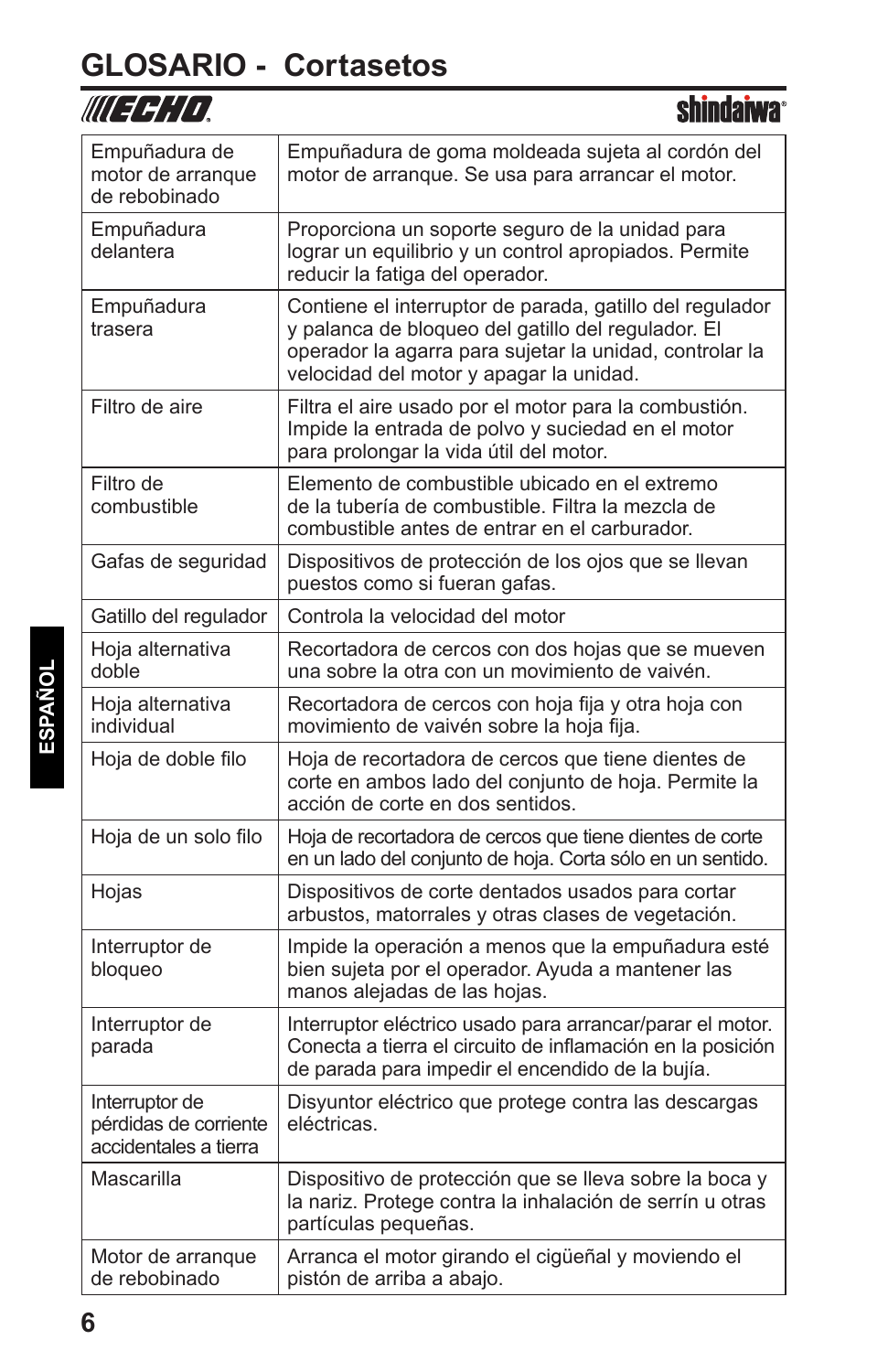## **GLOSARIO - Cortasetos**

| WU 7711 L                                                        | əliliyalma                                                                                                                                                                                                           |
|------------------------------------------------------------------|----------------------------------------------------------------------------------------------------------------------------------------------------------------------------------------------------------------------|
| Empuñadura de<br>motor de arranque<br>de rebobinado              | Empuñadura de goma moldeada sujeta al cordón del<br>motor de arranque. Se usa para arrancar el motor.                                                                                                                |
| Empuñadura<br>delantera                                          | Proporciona un soporte seguro de la unidad para<br>lograr un equilibrio y un control apropiados. Permite<br>reducir la fatiga del operador.                                                                          |
| Empuñadura<br>trasera                                            | Contiene el interruptor de parada, gatillo del regulador<br>y palanca de bloqueo del gatillo del regulador. El<br>operador la agarra para sujetar la unidad, controlar la<br>velocidad del motor y apagar la unidad. |
| Filtro de aire                                                   | Filtra el aire usado por el motor para la combustión.<br>Impide la entrada de polvo y suciedad en el motor<br>para prolongar la vida útil del motor.                                                                 |
| Filtro de<br>combustible                                         | Elemento de combustible ubicado en el extremo<br>de la tubería de combustible. Filtra la mezcla de<br>combustible antes de entrar en el carburador.                                                                  |
| Gafas de seguridad                                               | Dispositivos de protección de los ojos que se llevan<br>puestos como si fueran gafas.                                                                                                                                |
| Gatillo del regulador                                            | Controla la velocidad del motor                                                                                                                                                                                      |
| Hoja alternativa<br>doble                                        | Recortadora de cercos con dos hojas que se mueven<br>una sobre la otra con un movimiento de vaivén.                                                                                                                  |
| Hoja alternativa<br>individual                                   | Recortadora de cercos con hoja fija y otra hoja con<br>movimiento de vaivén sobre la hoja fija.                                                                                                                      |
| Hoja de doble filo                                               | Hoja de recortadora de cercos que tiene dientes de<br>corte en ambos lado del conjunto de hoja. Permite la<br>acción de corte en dos sentidos.                                                                       |
| Hoja de un solo filo                                             | Hoja de recortadora de cercos que tiene dientes de corte<br>en un lado del conjunto de hoja. Corta sólo en un sentido.                                                                                               |
| Hojas                                                            | Dispositivos de corte dentados usados para cortar<br>arbustos, matorrales y otras clases de vegetación.                                                                                                              |
| Interruptor de<br>bloqueo                                        | Impide la operación a menos que la empuñadura esté<br>bien sujeta por el operador. Ayuda a mantener las<br>manos alejadas de las hojas.                                                                              |
| Interruptor de<br>parada                                         | Interruptor eléctrico usado para arrancar/parar el motor.<br>Conecta a tierra el circuito de inflamación en la posición<br>de parada para impedir el encendido de la bujía.                                          |
| Interruptor de<br>pérdidas de corriente<br>accidentales a tierra | Disyuntor eléctrico que protege contra las descargas<br>eléctricas.                                                                                                                                                  |
| Mascarilla                                                       | Dispositivo de protección que se lleva sobre la boca y<br>la nariz. Protege contra la inhalación de serrín u otras<br>partículas pequeñas.                                                                           |
| Motor de arranque<br>de rebobinado                               | Arranca el motor girando el cigüeñal y moviendo el<br>pistón de arriba a abajo.                                                                                                                                      |

chindonuo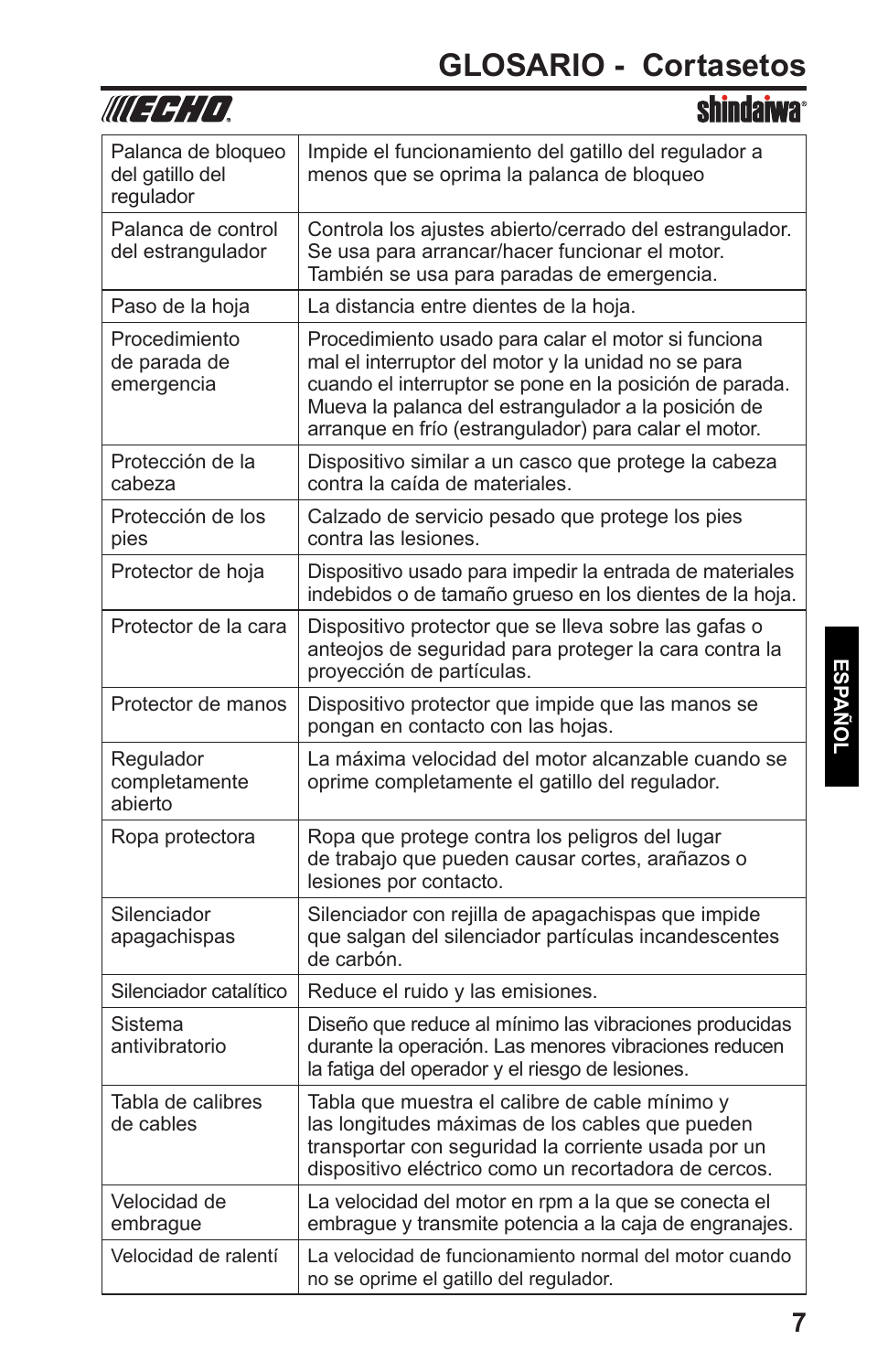chindoiwo

|                                                    | SIIIIWAIWA                                                                                                                                                                                                                                                                            |
|----------------------------------------------------|---------------------------------------------------------------------------------------------------------------------------------------------------------------------------------------------------------------------------------------------------------------------------------------|
| Palanca de bloqueo<br>del gatillo del<br>regulador | Impide el funcionamiento del gatillo del regulador a<br>menos que se oprima la palanca de bloqueo                                                                                                                                                                                     |
| Palanca de control<br>del estrangulador            | Controla los ajustes abierto/cerrado del estrangulador.<br>Se usa para arrancar/hacer funcionar el motor.<br>También se usa para paradas de emergencia.                                                                                                                               |
| Paso de la hoja                                    | La distancia entre dientes de la hoja.                                                                                                                                                                                                                                                |
| Procedimiento<br>de parada de<br>emergencia        | Procedimiento usado para calar el motor si funciona<br>mal el interruptor del motor y la unidad no se para<br>cuando el interruptor se pone en la posición de parada.<br>Mueva la palanca del estrangulador a la posición de<br>arranque en frío (estrangulador) para calar el motor. |
| Protección de la<br>cabeza                         | Dispositivo similar a un casco que protege la cabeza<br>contra la caída de materiales.                                                                                                                                                                                                |
| Protección de los<br>pies                          | Calzado de servicio pesado que protege los pies<br>contra las lesiones.                                                                                                                                                                                                               |
| Protector de hoja                                  | Dispositivo usado para impedir la entrada de materiales<br>indebidos o de tamaño grueso en los dientes de la hoja.                                                                                                                                                                    |
| Protector de la cara                               | Dispositivo protector que se lleva sobre las gafas o<br>anteojos de seguridad para proteger la cara contra la<br>proyección de partículas.                                                                                                                                            |
| Protector de manos                                 | Dispositivo protector que impide que las manos se<br>pongan en contacto con las hojas.                                                                                                                                                                                                |
| Regulador<br>completamente<br>abierto              | La máxima velocidad del motor alcanzable cuando se<br>oprime completamente el gatillo del regulador.                                                                                                                                                                                  |
| Ropa protectora                                    | Ropa que protege contra los peligros del lugar<br>de trabajo que pueden causar cortes, arañazos o<br>lesiones por contacto.                                                                                                                                                           |
| Silenciador<br>apagachispas                        | Silenciador con rejilla de apagachispas que impide<br>que salgan del silenciador partículas incandescentes<br>de carbón.                                                                                                                                                              |
| Silenciador catalítico                             | Reduce el ruido y las emisiones.                                                                                                                                                                                                                                                      |
| Sistema<br>antivibratorio                          | Diseño que reduce al mínimo las vibraciones producidas<br>durante la operación. Las menores vibraciones reducen<br>la fatiga del operador y el riesgo de lesiones.                                                                                                                    |
| Tabla de calibres<br>de cables                     | Tabla que muestra el calibre de cable mínimo y<br>las longitudes máximas de los cables que pueden<br>transportar con seguridad la corriente usada por un<br>dispositivo eléctrico como un recortadora de cercos.                                                                      |
| Velocidad de<br>embrague                           | La velocidad del motor en rpm a la que se conecta el<br>embrague y transmite potencia a la caja de engranajes.                                                                                                                                                                        |
| Velocidad de ralentí                               | La velocidad de funcionamiento normal del motor cuando<br>no se oprime el gatillo del regulador.                                                                                                                                                                                      |

**IIIEEEEE**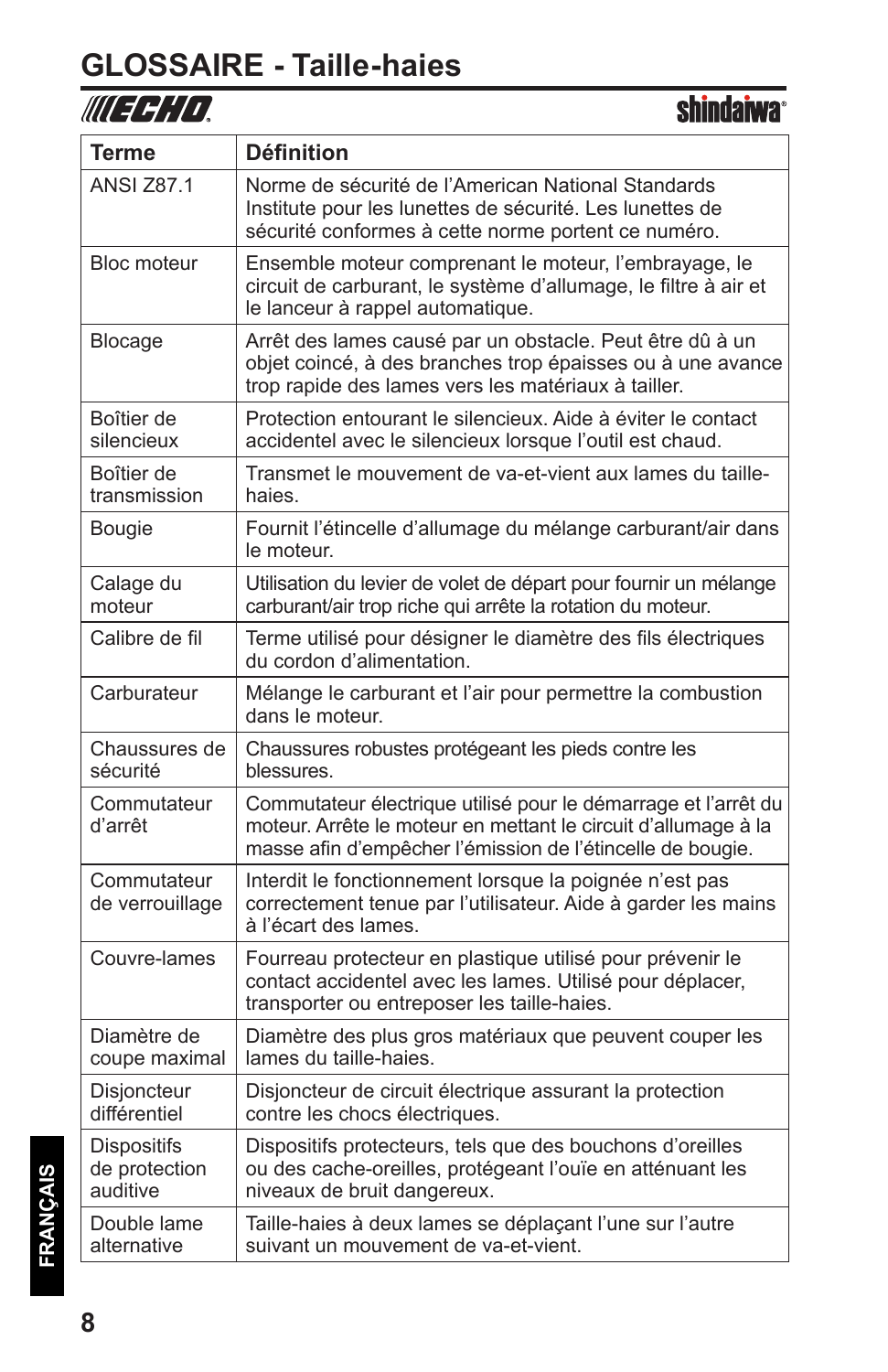#### **GLOSSAIRE - Taille-haies**

### WIEGHD.

| <b>Terme</b>                                    | <b>Définition</b>                                                                                                                                                                              |
|-------------------------------------------------|------------------------------------------------------------------------------------------------------------------------------------------------------------------------------------------------|
| <b>ANSI Z87.1</b>                               | Norme de sécurité de l'American National Standards<br>Institute pour les lunettes de sécurité. Les lunettes de<br>sécurité conformes à cette norme portent ce numéro.                          |
| Bloc moteur                                     | Ensemble moteur comprenant le moteur, l'embrayage, le<br>circuit de carburant, le système d'allumage, le filtre à air et<br>le lanceur à rappel automatique.                                   |
| Blocage                                         | Arrêt des lames causé par un obstacle. Peut être dû à un<br>objet coincé, à des branches trop épaisses ou à une avance<br>trop rapide des lames vers les matériaux à tailler.                  |
| Boîtier de<br>silencieux                        | Protection entourant le silencieux. Aide à éviter le contact<br>accidentel avec le silencieux lorsque l'outil est chaud.                                                                       |
| Boîtier de<br>transmission                      | Transmet le mouvement de va-et-vient aux lames du taille-<br>haies.                                                                                                                            |
| <b>Bougie</b>                                   | Fournit l'étincelle d'allumage du mélange carburant/air dans<br>le moteur.                                                                                                                     |
| Calage du<br>moteur                             | Utilisation du levier de volet de départ pour fournir un mélange<br>carburant/air trop riche qui arrête la rotation du moteur.                                                                 |
| Calibre de fil                                  | Terme utilisé pour désigner le diamètre des fils électriques<br>du cordon d'alimentation.                                                                                                      |
| Carburateur                                     | Mélange le carburant et l'air pour permettre la combustion<br>dans le moteur.                                                                                                                  |
| Chaussures de<br>sécurité                       | Chaussures robustes protégeant les pieds contre les<br>blessures.                                                                                                                              |
| Commutateur<br>d'arrêt                          | Commutateur électrique utilisé pour le démarrage et l'arrêt du<br>moteur. Arrête le moteur en mettant le circuit d'allumage à la<br>masse afin d'empêcher l'émission de l'étincelle de bougie. |
| Commutateur<br>de verrouillage                  | Interdit le fonctionnement lorsque la poignée n'est pas<br>correctement tenue par l'utilisateur. Aide à garder les mains<br>à l'écart des lames.                                               |
| Couvre-lames                                    | Fourreau protecteur en plastique utilisé pour prévenir le<br>contact accidentel avec les lames. Utilisé pour déplacer,<br>transporter ou entreposer les taille-haies.                          |
| Diamètre de<br>coupe maximal                    | Diamètre des plus gros matériaux que peuvent couper les<br>lames du taille-haies.                                                                                                              |
| <b>Disjoncteur</b><br>différentiel              | Disjoncteur de circuit électrique assurant la protection<br>contre les chocs électriques.                                                                                                      |
| <b>Dispositifs</b><br>de protection<br>auditive | Dispositifs protecteurs, tels que des bouchons d'oreilles<br>ou des cache-oreilles, protégeant l'ouïe en atténuant les<br>niveaux de bruit dangereux.                                          |
| Double lame<br>alternative                      | Taille-haies à deux lames se déplaçant l'une sur l'autre<br>suivant un mouvement de va-et-vient.                                                                                               |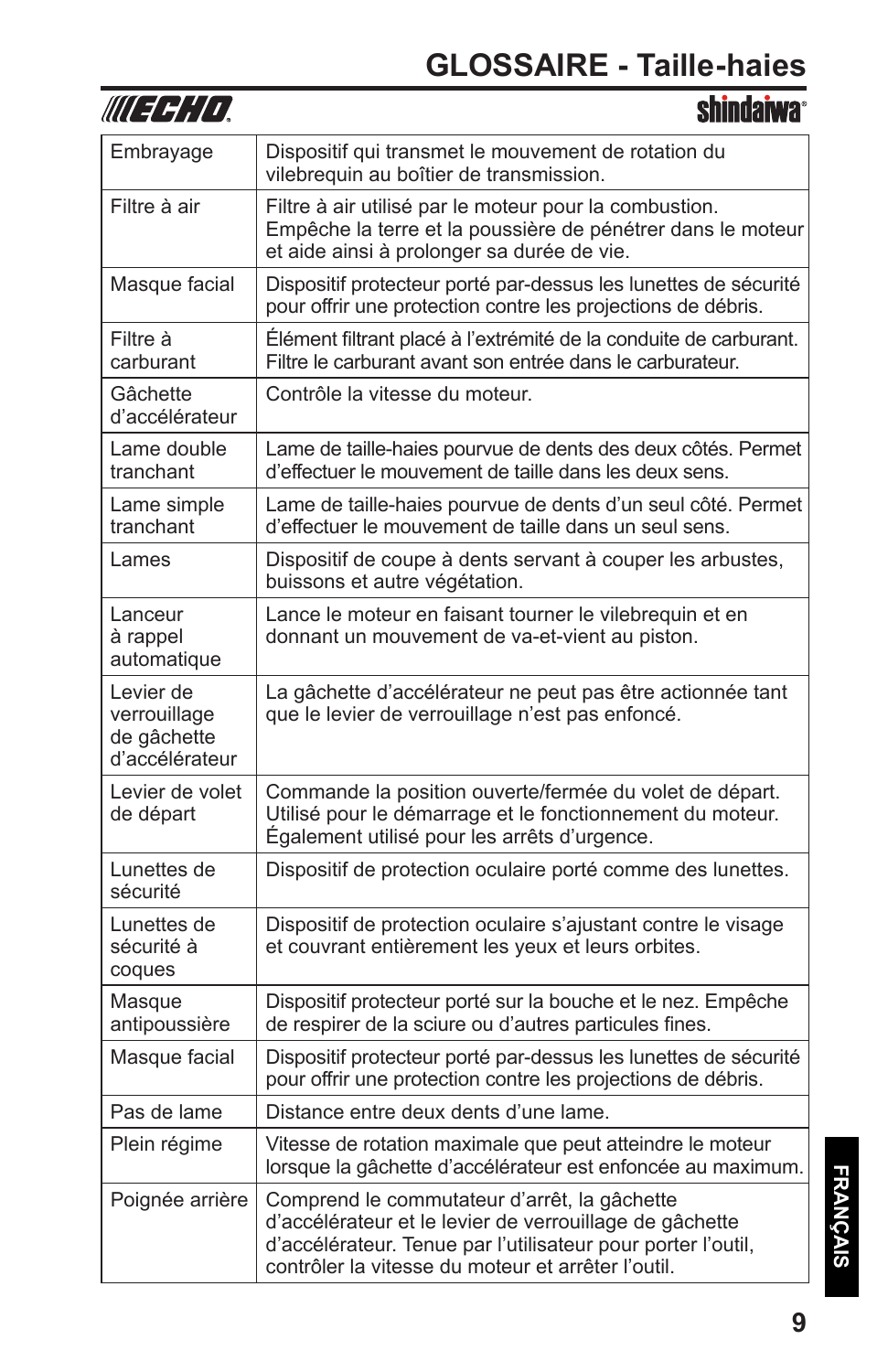### **GLOSSAIRE - Taille-haies**

| WUEFH'LD,                                                  | <b>shindaiwa</b>                                                                                                                                                                                                              |
|------------------------------------------------------------|-------------------------------------------------------------------------------------------------------------------------------------------------------------------------------------------------------------------------------|
| Embrayage                                                  | Dispositif qui transmet le mouvement de rotation du<br>vilebrequin au boîtier de transmission.                                                                                                                                |
| Filtre à air                                               | Filtre à air utilisé par le moteur pour la combustion.<br>Empêche la terre et la poussière de pénétrer dans le moteur<br>et aide ainsi à prolonger sa durée de vie.                                                           |
| Masque facial                                              | Dispositif protecteur porté par-dessus les lunettes de sécurité<br>pour offrir une protection contre les projections de débris.                                                                                               |
| Filtre à<br>carburant                                      | Élément filtrant placé à l'extrémité de la conduite de carburant.<br>Filtre le carburant avant son entrée dans le carburateur.                                                                                                |
| Gâchette<br>d'accélérateur                                 | Contrôle la vitesse du moteur.                                                                                                                                                                                                |
| Lame double<br>tranchant                                   | Lame de taille-haies pourvue de dents des deux côtés. Permet<br>d'effectuer le mouvement de taille dans les deux sens.                                                                                                        |
| Lame simple<br>tranchant                                   | Lame de taille-haies pourvue de dents d'un seul côté. Permet<br>d'effectuer le mouvement de taille dans un seul sens.                                                                                                         |
| Lames                                                      | Dispositif de coupe à dents servant à couper les arbustes,<br>buissons et autre végétation.                                                                                                                                   |
| Lanceur<br>à rappel<br>automatique                         | Lance le moteur en faisant tourner le vilebrequin et en<br>donnant un mouvement de va-et-vient au piston.                                                                                                                     |
| Levier de<br>verrouillage<br>de gâchette<br>d'accélérateur | La gâchette d'accélérateur ne peut pas être actionnée tant<br>que le levier de verrouillage n'est pas enfoncé.                                                                                                                |
| Levier de volet<br>de départ                               | Commande la position ouverte/fermée du volet de départ.<br>Utilisé pour le démarrage et le fonctionnement du moteur.<br>Également utilisé pour les arrêts d'urgence.                                                          |
| Lunettes de<br>sécurité                                    | Dispositif de protection oculaire porté comme des lunettes.                                                                                                                                                                   |
| Lunettes de<br>sécurité à<br>coques                        | Dispositif de protection oculaire s'ajustant contre le visage<br>et couvrant entièrement les yeux et leurs orbites.                                                                                                           |
| Masque<br>antipoussière                                    | Dispositif protecteur porté sur la bouche et le nez. Empêche<br>de respirer de la sciure ou d'autres particules fines.                                                                                                        |
| Masque facial                                              | Dispositif protecteur porté par-dessus les lunettes de sécurité<br>pour offrir une protection contre les projections de débris.                                                                                               |
| Pas de lame                                                | Distance entre deux dents d'une lame.                                                                                                                                                                                         |
| Plein régime                                               | Vitesse de rotation maximale que peut atteindre le moteur<br>lorsque la gâchette d'accélérateur est enfoncée au maximum.                                                                                                      |
| Poignée arrière                                            | Comprend le commutateur d'arrêt, la gâchette<br>d'accélérateur et le levier de verrouillage de gâchette<br>d'accélérateur. Tenue par l'utilisateur pour porter l'outil,<br>contrôler la vitesse du moteur et arrêter l'outil. |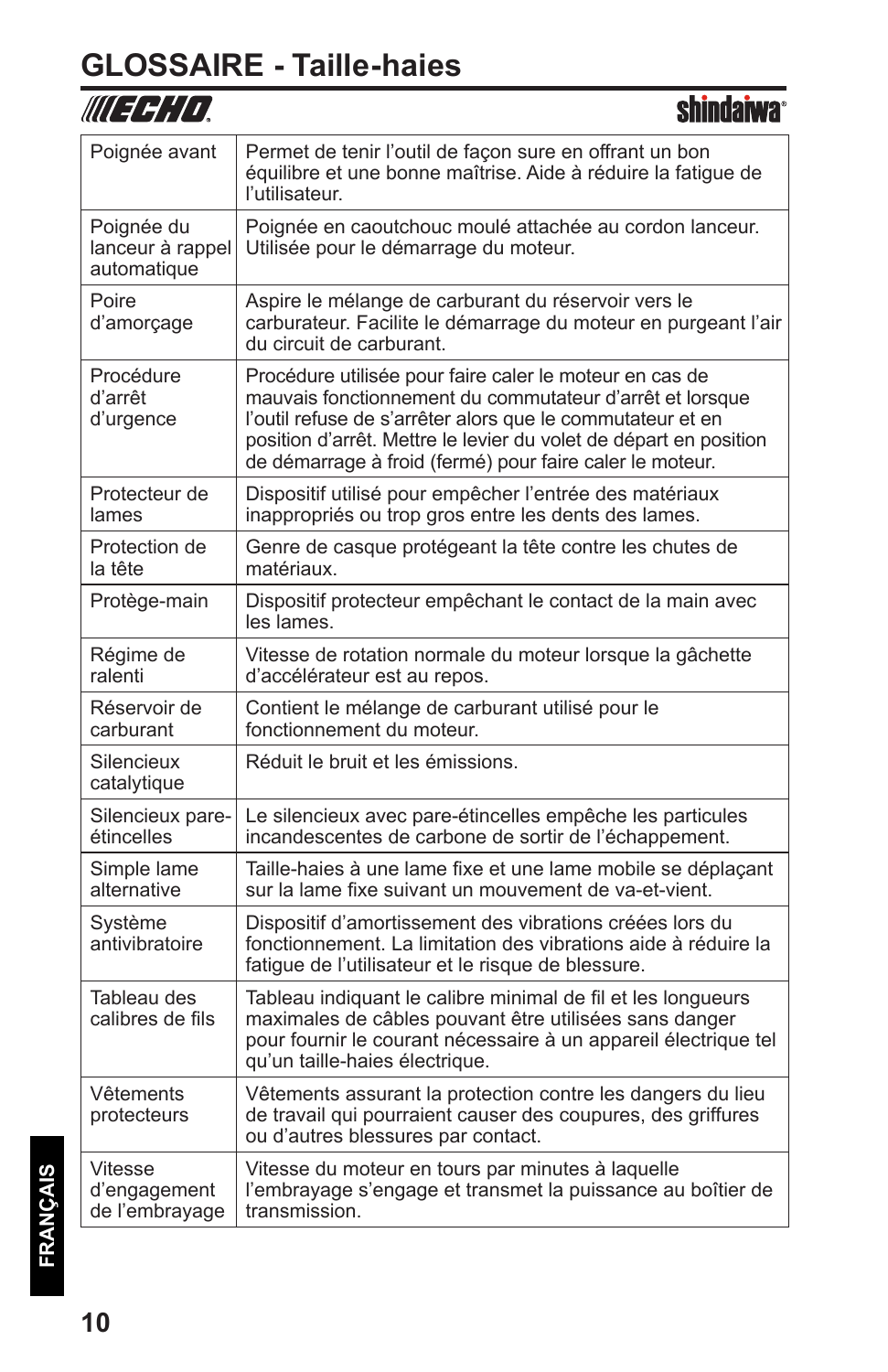#### **GLOSSAIRE - Taille-haies**

#### WIEGHD.

| Poignée avant                                 | Permet de tenir l'outil de façon sure en offrant un bon<br>équilibre et une bonne maîtrise. Aide à réduire la fatique de<br>l'utilisateur.                                                                                                                                                                         |
|-----------------------------------------------|--------------------------------------------------------------------------------------------------------------------------------------------------------------------------------------------------------------------------------------------------------------------------------------------------------------------|
| Poignée du<br>lanceur à rappel<br>automatique | Poignée en caoutchouc moulé attachée au cordon lanceur.<br>Utilisée pour le démarrage du moteur.                                                                                                                                                                                                                   |
| Poire<br>d'amorçage                           | Aspire le mélange de carburant du réservoir vers le<br>carburateur. Facilite le démarrage du moteur en purgeant l'air<br>du circuit de carburant.                                                                                                                                                                  |
| Procédure<br>d'arrêt<br>d'urgence             | Procédure utilisée pour faire caler le moteur en cas de<br>mauvais fonctionnement du commutateur d'arrêt et lorsque<br>l'outil refuse de s'arrêter alors que le commutateur et en<br>position d'arrêt. Mettre le levier du volet de départ en position<br>de démarrage à froid (fermé) pour faire caler le moteur. |
| Protecteur de<br>lames                        | Dispositif utilisé pour empêcher l'entrée des matériaux<br>inappropriés ou trop gros entre les dents des lames.                                                                                                                                                                                                    |
| Protection de<br>la tête                      | Genre de casque protégeant la tête contre les chutes de<br>matériaux.                                                                                                                                                                                                                                              |
| Protège-main                                  | Dispositif protecteur empêchant le contact de la main avec<br>les lames.                                                                                                                                                                                                                                           |
| Régime de<br>ralenti                          | Vitesse de rotation normale du moteur lorsque la gâchette<br>d'accélérateur est au repos.                                                                                                                                                                                                                          |
| Réservoir de<br>carburant                     | Contient le mélange de carburant utilisé pour le<br>fonctionnement du moteur.                                                                                                                                                                                                                                      |
| Silencieux<br>catalytique                     | Réduit le bruit et les émissions.                                                                                                                                                                                                                                                                                  |
| Silencieux pare-<br>étincelles                | Le silencieux avec pare-étincelles empêche les particules<br>incandescentes de carbone de sortir de l'échappement.                                                                                                                                                                                                 |
| Simple lame<br>alternative                    | Taille-haies à une lame fixe et une lame mobile se déplaçant<br>sur la lame fixe suivant un mouvement de va-et-vient.                                                                                                                                                                                              |
| Système<br>antivibratoire                     | Dispositif d'amortissement des vibrations créées lors du<br>fonctionnement. La limitation des vibrations aide à réduire la<br>fatigue de l'utilisateur et le risque de blessure.                                                                                                                                   |
| Tableau des<br>calibres de fils               | Tableau indiguant le calibre minimal de fil et les longueurs<br>maximales de câbles pouvant être utilisées sans danger<br>pour fournir le courant nécessaire à un appareil électrique tel<br>qu'un taille-haies électrique.                                                                                        |
| Vêtements<br>protecteurs                      | Vêtements assurant la protection contre les dangers du lieu<br>de travail qui pourraient causer des coupures, des griffures<br>ou d'autres blessures par contact.                                                                                                                                                  |
| Vitesse<br>d'engagement<br>de l'embrayage     | Vitesse du moteur en tours par minutes à laquelle<br>l'embrayage s'engage et transmet la puissance au boîtier de<br>transmission.                                                                                                                                                                                  |